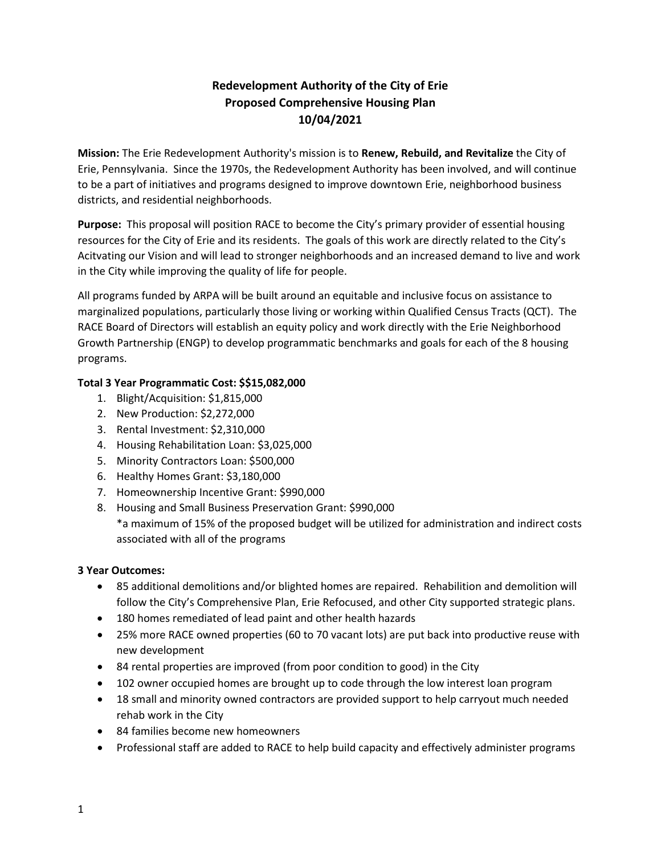# **Redevelopment Authority of the City of Erie Proposed Comprehensive Housing Plan 10/04/2021**

**Mission:** The Erie Redevelopment Authority's mission is to **Renew, Rebuild, and Revitalize** the City of Erie, Pennsylvania. Since the 1970s, the Redevelopment Authority has been involved, and will continue to be a part of initiatives and programs designed to improve downtown Erie, neighborhood business districts, and residential neighborhoods.

**Purpose:** This proposal will position RACE to become the City's primary provider of essential housing resources for the City of Erie and its residents. The goals of this work are directly related to the City's Acitvating our Vision and will lead to stronger neighborhoods and an increased demand to live and work in the City while improving the quality of life for people.

All programs funded by ARPA will be built around an equitable and inclusive focus on assistance to marginalized populations, particularly those living or working within Qualified Census Tracts (QCT). The RACE Board of Directors will establish an equity policy and work directly with the Erie Neighborhood Growth Partnership (ENGP) to develop programmatic benchmarks and goals for each of the 8 housing programs.

# **Total 3 Year Programmatic Cost: \$\$15,082,000**

- 1. Blight/Acquisition: \$1,815,000
- 2. New Production: \$2,272,000
- 3. Rental Investment: \$2,310,000
- 4. Housing Rehabilitation Loan: \$3,025,000
- 5. Minority Contractors Loan: \$500,000
- 6. Healthy Homes Grant: \$3,180,000
- 7. Homeownership Incentive Grant: \$990,000
- 8. Housing and Small Business Preservation Grant: \$990,000 \*a maximum of 15% of the proposed budget will be utilized for administration and indirect costs associated with all of the programs

# **3 Year Outcomes:**

- 85 additional demolitions and/or blighted homes are repaired. Rehabilition and demolition will follow the City's Comprehensive Plan, Erie Refocused, and other City supported strategic plans.
- 180 homes remediated of lead paint and other health hazards
- 25% more RACE owned properties (60 to 70 vacant lots) are put back into productive reuse with new development
- 84 rental properties are improved (from poor condition to good) in the City
- 102 owner occupied homes are brought up to code through the low interest loan program
- 18 small and minority owned contractors are provided support to help carryout much needed rehab work in the City
- 84 families become new homeowners
- Professional staff are added to RACE to help build capacity and effectively administer programs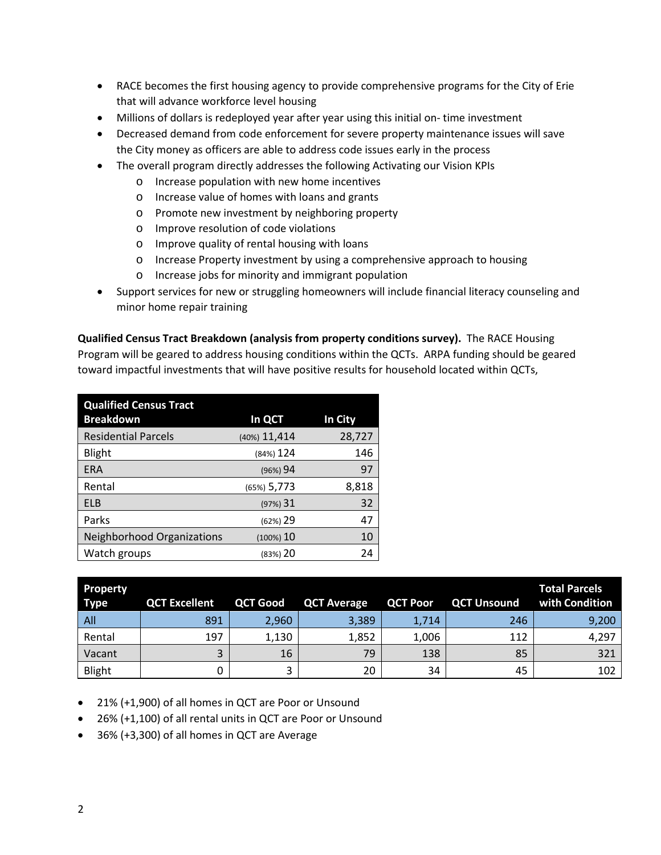- RACE becomes the first housing agency to provide comprehensive programs for the City of Erie that will advance workforce level housing
- Millions of dollars is redeployed year after year using this initial on- time investment
- Decreased demand from code enforcement for severe property maintenance issues will save the City money as officers are able to address code issues early in the process
- The overall program directly addresses the following Activating our Vision KPIs
	- o Increase population with new home incentives
	- o Increase value of homes with loans and grants
	- o Promote new investment by neighboring property
	- o Improve resolution of code violations
	- o Improve quality of rental housing with loans
	- o Increase Property investment by using a comprehensive approach to housing
	- o Increase jobs for minority and immigrant population
- Support services for new or struggling homeowners will include financial literacy counseling and minor home repair training

**Qualified Census Tract Breakdown (analysis from property conditions survey).** The RACE Housing Program will be geared to address housing conditions within the QCTs.ARPA funding should be geared toward impactful investments that will have positive results for household located within QCTs,

| <b>Qualified Census Tract</b><br><b>Breakdown</b> | In QCT        | In City |
|---------------------------------------------------|---------------|---------|
| <b>Residential Parcels</b>                        | (40%) 11,414  | 28,727  |
| Blight                                            | $(84%)$ 124   | 146     |
| <b>ERA</b>                                        | (96%) 94      | 97      |
| Rental                                            | $(65%)$ 5,773 | 8,818   |
| <b>ELB</b>                                        | $(97%)$ 31    | 32      |
| Parks                                             | $(62%)$ 29    | 47      |
| Neighborhood Organizations                        | $(100%)$ 10   | 10      |
| Watch groups                                      | (83%) 20      | 24      |

| <b>Property</b><br><b>Type</b> | <b>QCT Excellent</b> | <b>QCT Good</b> | <b>QCT Average</b> | <b>QCT Poor</b> | <b>QCT Unsound</b> | Total Parcels<br>with Condition |
|--------------------------------|----------------------|-----------------|--------------------|-----------------|--------------------|---------------------------------|
| All                            | 891                  | 2,960           | 3,389              | 1,714           | 246                | 9,200                           |
| Rental                         | 197                  | 1,130           | 1,852              | 1,006           | 112                | 4,297                           |
| Vacant                         |                      | 16              | 79                 | 138             | 85                 | 321                             |
| Blight                         |                      |                 | 20                 | 34              | 45                 | 102                             |

• 21% (+1,900) of all homes in QCT are Poor or Unsound

- 26% (+1,100) of all rental units in QCT are Poor or Unsound
- 36% (+3,300) of all homes in QCT are Average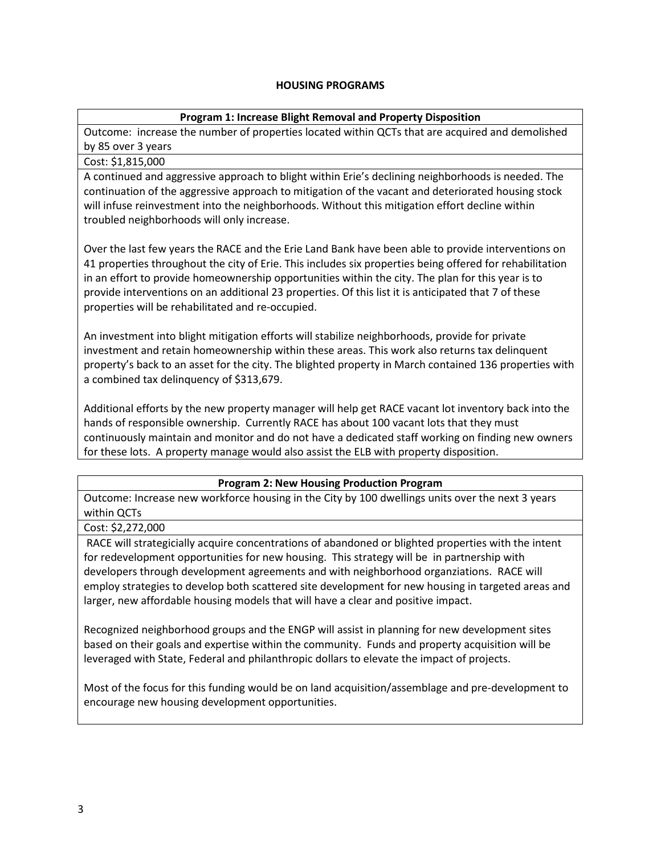#### **HOUSING PROGRAMS**

# **Program 1: Increase Blight Removal and Property Disposition**

Outcome: increase the number of properties located within QCTs that are acquired and demolished by 85 over 3 years

# Cost: \$1,815,000

A continued and aggressive approach to blight within Erie's declining neighborhoods is needed. The continuation of the aggressive approach to mitigation of the vacant and deteriorated housing stock will infuse reinvestment into the neighborhoods. Without this mitigation effort decline within troubled neighborhoods will only increase.

Over the last few years the RACE and the Erie Land Bank have been able to provide interventions on 41 properties throughout the city of Erie. This includes six properties being offered for rehabilitation in an effort to provide homeownership opportunities within the city. The plan for this year is to provide interventions on an additional 23 properties. Of this list it is anticipated that 7 of these properties will be rehabilitated and re-occupied.

An investment into blight mitigation efforts will stabilize neighborhoods, provide for private investment and retain homeownership within these areas. This work also returns tax delinquent property's back to an asset for the city. The blighted property in March contained 136 properties with a combined tax delinquency of \$313,679.

Additional efforts by the new property manager will help get RACE vacant lot inventory back into the hands of responsible ownership. Currently RACE has about 100 vacant lots that they must continuously maintain and monitor and do not have a dedicated staff working on finding new owners for these lots. A property manage would also assist the ELB with property disposition.

# **Program 2: New Housing Production Program**

Outcome: Increase new workforce housing in the City by 100 dwellings units over the next 3 years within QCTs

#### Cost: \$2,272,000

RACE will strategicially acquire concentrations of abandoned or blighted properties with the intent for redevelopment opportunities for new housing. This strategy will be in partnership with developers through development agreements and with neighborhood organziations. RACE will employ strategies to develop both scattered site development for new housing in targeted areas and larger, new affordable housing models that will have a clear and positive impact.

Recognized neighborhood groups and the ENGP will assist in planning for new development sites based on their goals and expertise within the community. Funds and property acquisition will be leveraged with State, Federal and philanthropic dollars to elevate the impact of projects.

Most of the focus for this funding would be on land acquisition/assemblage and pre-development to encourage new housing development opportunities.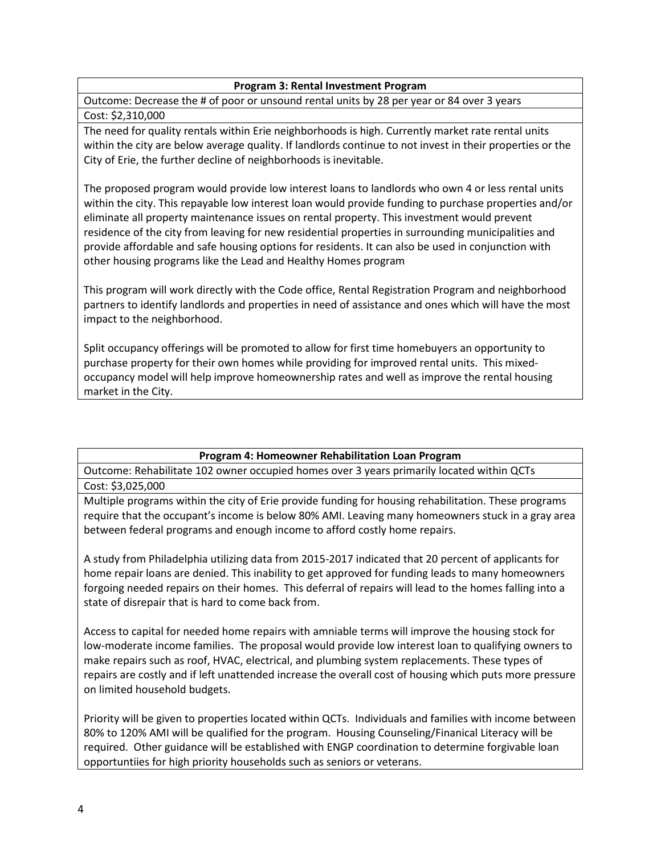#### **Program 3: Rental Investment Program**

Outcome: Decrease the # of poor or unsound rental units by 28 per year or 84 over 3 years Cost: \$2,310,000

The need for quality rentals within Erie neighborhoods is high. Currently market rate rental units within the city are below average quality. If landlords continue to not invest in their properties or the City of Erie, the further decline of neighborhoods is inevitable.

The proposed program would provide low interest loans to landlords who own 4 or less rental units within the city. This repayable low interest loan would provide funding to purchase properties and/or eliminate all property maintenance issues on rental property. This investment would prevent residence of the city from leaving for new residential properties in surrounding municipalities and provide affordable and safe housing options for residents. It can also be used in conjunction with other housing programs like the Lead and Healthy Homes program

This program will work directly with the Code office, Rental Registration Program and neighborhood partners to identify landlords and properties in need of assistance and ones which will have the most impact to the neighborhood.

Split occupancy offerings will be promoted to allow for first time homebuyers an opportunity to purchase property for their own homes while providing for improved rental units. This mixedoccupancy model will help improve homeownership rates and well as improve the rental housing market in the City.

#### **Program 4: Homeowner Rehabilitation Loan Program**

Outcome: Rehabilitate 102 owner occupied homes over 3 years primarily located within QCTs Cost: \$3,025,000

Multiple programs within the city of Erie provide funding for housing rehabilitation. These programs require that the occupant's income is below 80% AMI. Leaving many homeowners stuck in a gray area between federal programs and enough income to afford costly home repairs.

A study from Philadelphia utilizing data from 2015-2017 indicated that 20 percent of applicants for home repair loans are denied. This inability to get approved for funding leads to many homeowners forgoing needed repairs on their homes. This deferral of repairs will lead to the homes falling into a state of disrepair that is hard to come back from.

Access to capital for needed home repairs with amniable terms will improve the housing stock for low-moderate income families. The proposal would provide low interest loan to qualifying owners to make repairs such as roof, HVAC, electrical, and plumbing system replacements. These types of repairs are costly and if left unattended increase the overall cost of housing which puts more pressure on limited household budgets.

Priority will be given to properties located within QCTs. Individuals and families with income between 80% to 120% AMI will be qualified for the program. Housing Counseling/Finanical Literacy will be required. Other guidance will be established with ENGP coordination to determine forgivable loan opportuntiies for high priority households such as seniors or veterans.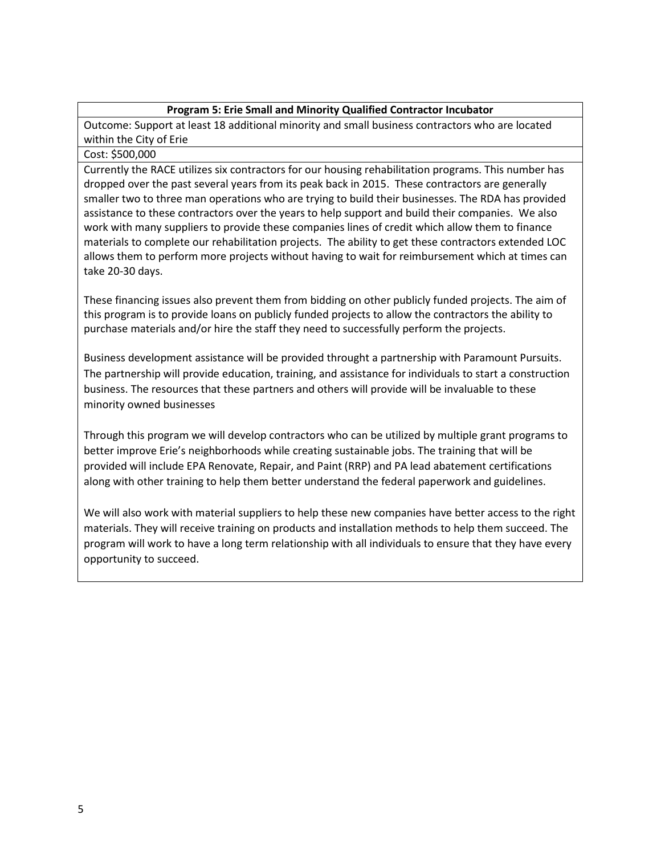#### **Program 5: Erie Small and Minority Qualified Contractor Incubator**

Outcome: Support at least 18 additional minority and small business contractors who are located within the City of Erie

#### Cost: \$500,000

Currently the RACE utilizes six contractors for our housing rehabilitation programs. This number has dropped over the past several years from its peak back in 2015. These contractors are generally smaller two to three man operations who are trying to build their businesses. The RDA has provided assistance to these contractors over the years to help support and build their companies. We also work with many suppliers to provide these companies lines of credit which allow them to finance materials to complete our rehabilitation projects. The ability to get these contractors extended LOC allows them to perform more projects without having to wait for reimbursement which at times can take 20-30 days.

These financing issues also prevent them from bidding on other publicly funded projects. The aim of this program is to provide loans on publicly funded projects to allow the contractors the ability to purchase materials and/or hire the staff they need to successfully perform the projects.

Business development assistance will be provided throught a partnership with Paramount Pursuits. The partnership will provide education, training, and assistance for individuals to start a construction business. The resources that these partners and others will provide will be invaluable to these minority owned businesses

Through this program we will develop contractors who can be utilized by multiple grant programs to better improve Erie's neighborhoods while creating sustainable jobs. The training that will be provided will include EPA Renovate, Repair, and Paint (RRP) and PA lead abatement certifications along with other training to help them better understand the federal paperwork and guidelines.

We will also work with material suppliers to help these new companies have better access to the right materials. They will receive training on products and installation methods to help them succeed. The program will work to have a long term relationship with all individuals to ensure that they have every opportunity to succeed.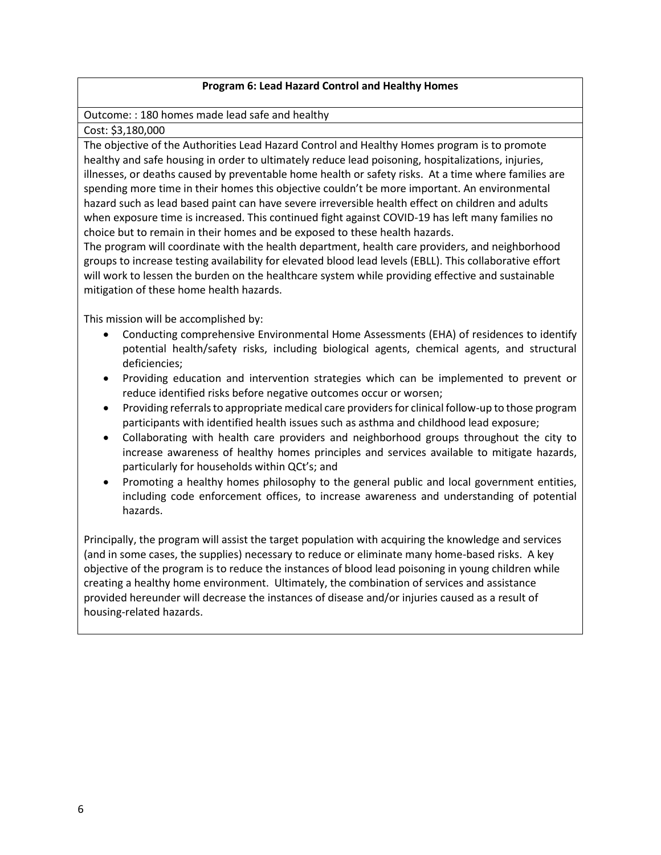# **Program 6: Lead Hazard Control and Healthy Homes**

Outcome: : 180 homes made lead safe and healthy

Cost: \$3,180,000

The objective of the Authorities Lead Hazard Control and Healthy Homes program is to promote healthy and safe housing in order to ultimately reduce lead poisoning, hospitalizations, injuries, illnesses, or deaths caused by preventable home health or safety risks. At a time where families are spending more time in their homes this objective couldn't be more important. An environmental hazard such as lead based paint can have severe irreversible health effect on children and adults when exposure time is increased. This continued fight against COVID-19 has left many families no choice but to remain in their homes and be exposed to these health hazards.

The program will coordinate with the health department, health care providers, and neighborhood groups to increase testing availability for elevated blood lead levels (EBLL). This collaborative effort will work to lessen the burden on the healthcare system while providing effective and sustainable mitigation of these home health hazards.

This mission will be accomplished by:

- Conducting comprehensive Environmental Home Assessments (EHA) of residences to identify potential health/safety risks, including biological agents, chemical agents, and structural deficiencies;
- Providing education and intervention strategies which can be implemented to prevent or reduce identified risks before negative outcomes occur or worsen;
- Providing referrals to appropriate medical care providers for clinical follow-up to those program participants with identified health issues such as asthma and childhood lead exposure;
- Collaborating with health care providers and neighborhood groups throughout the city to increase awareness of healthy homes principles and services available to mitigate hazards, particularly for households within QCt's; and
- Promoting a healthy homes philosophy to the general public and local government entities, including code enforcement offices, to increase awareness and understanding of potential hazards.

Principally, the program will assist the target population with acquiring the knowledge and services (and in some cases, the supplies) necessary to reduce or eliminate many home-based risks. A key objective of the program is to reduce the instances of blood lead poisoning in young children while creating a healthy home environment. Ultimately, the combination of services and assistance provided hereunder will decrease the instances of disease and/or injuries caused as a result of housing-related hazards.